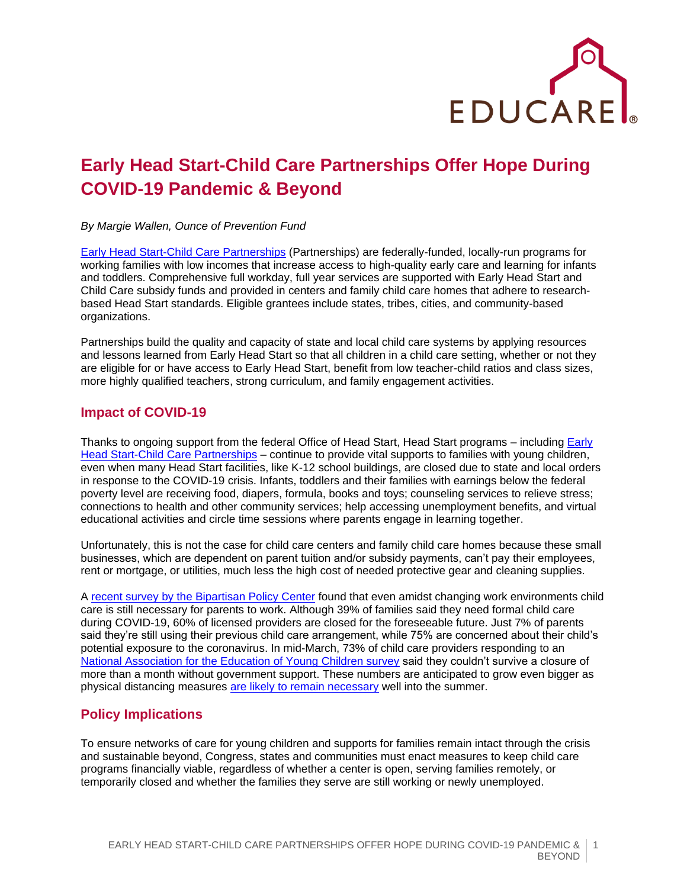

# **Early Head Start-Child Care Partnerships Offer Hope During COVID-19 Pandemic & Beyond**

*By Margie Wallen, Ounce of Prevention Fund*

[Early Head Start-Child Care Partnerships](https://www.acf.hhs.gov/ecd/early-learning/ehs-cc-partnerships) (Partnerships) are federally-funded, locally-run programs for working families with low incomes that increase access to high-quality early care and learning for infants and toddlers. Comprehensive full workday, full year services are supported with Early Head Start and Child Care subsidy funds and provided in centers and family child care homes that adhere to researchbased Head Start standards. Eligible grantees include states, tribes, cities, and community-based organizations.

Partnerships build the quality and capacity of state and local child care systems by applying resources and lessons learned from Early Head Start so that all children in a child care setting, whether or not they are eligible for or have access to Early Head Start, benefit from low teacher-child ratios and class sizes, more highly qualified teachers, strong curriculum, and family engagement activities.

### **Impact of COVID-19**

Thanks to ongoing support from the federal Office of Head Start, Head Start programs – including Early [Head Start-Child Care Partnerships](https://www.acf.hhs.gov/occ/resource/state-lead-agency-policies-supportive-of-early-head-start-child-care-partnerships) – continue to provide vital supports to families with young children, even when many Head Start facilities, like K-12 school buildings, are closed due to state and local orders in response to the COVID-19 crisis. Infants, toddlers and their families with earnings below the federal poverty level are receiving food, diapers, formula, books and toys; counseling services to relieve stress; connections to health and other community services; help accessing unemployment benefits, and virtual educational activities and circle time sessions where parents engage in learning together.

Unfortunately, this is not the case for child care centers and family child care homes because these small businesses, which are dependent on parent tuition and/or subsidy payments, can't pay their employees, rent or mortgage, or utilities, much less the high cost of needed protective gear and cleaning supplies.

A [recent survey by the Bipartisan Policy Center](https://bipartisanpolicy.org/blog/nationwide-survey-child-care-in-the-time-of-coronavirus/) found that even amidst changing work environments child care is still necessary for parents to work. Although 39% of families said they need formal child care during COVID-19, 60% of licensed providers are closed for the foreseeable future. Just 7% of parents said they're still using their previous child care arrangement, while 75% are concerned about their child's potential exposure to the coronavirus. In mid-March, 73% of child care providers responding to an [National Association for the Education of Young Children survey](https://www.naeyc.org/sites/default/files/globally-shared/downloads/PDFs/our-work/public-policy-advocacy/effects_of_coronavirus_on_child_care.final.pdf) said they couldn't survive a closure of more than a month without government support. These numbers are anticipated to grow even bigger as physical distancing measures [are likely to remain necessary](https://www.americanprogress.org/issues/healthcare/news/2020/04/03/482613/national-state-plan-end-coronavirus-crisis/) well into the summer.

#### **Policy Implications**

To ensure networks of care for young children and supports for families remain intact through the crisis and sustainable beyond, Congress, states and communities must enact measures to keep child care programs financially viable, regardless of whether a center is open, serving families remotely, or temporarily closed and whether the families they serve are still working or newly unemployed.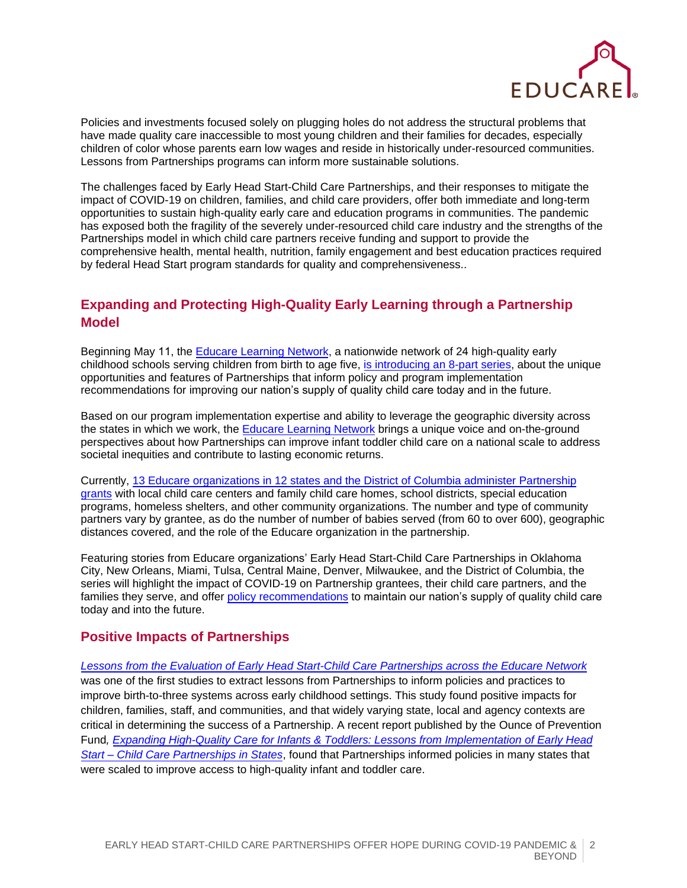

Policies and investments focused solely on plugging holes do not address the structural problems that have made quality care inaccessible to most young children and their families for decades, especially children of color whose parents earn low wages and reside in historically under-resourced communities. Lessons from Partnerships programs can inform more sustainable solutions.

The challenges faced by Early Head Start-Child Care Partnerships, and their responses to mitigate the impact of COVID-19 on children, families, and child care providers, offer both immediate and long-term opportunities to sustain high-quality early care and education programs in communities. The pandemic has exposed both the fragility of the severely under-resourced child care industry and the strengths of the Partnerships model in which child care partners receive funding and support to provide the comprehensive health, mental health, nutrition, family engagement and best education practices required by federal Head Start program standards for quality and comprehensiveness..

## **Expanding and Protecting High-Quality Early Learning through a Partnership Model**

Beginning May 11, the [Educare Learning Network,](https://www.educareschools.org/) a nationwide network of 24 high-quality early childhood schools serving children from birth to age five[, is introducing an 8-part series,](https://www.educareschools.org/ehs-ccp-series/) about the unique opportunities and features of Partnerships that inform policy and program implementation recommendations for improving our nation's supply of quality child care today and in the future.

Based on our program implementation expertise and ability to leverage the geographic diversity across the states in which we work, th[e Educare Learning Network](https://www.educareschools.org/our-approach/educare-learning-network/) brings a unique voice and on-the-ground perspectives about how Partnerships can improve infant toddler child care on a national scale to address societal inequities and contribute to lasting economic returns.

Currently, [13 Educare organizations in 12 states and the District of Columbia administer Partnership](https://www.educareschools.org/educare-organizations-win-nearly-30-million-in-federal-grants-to-boost-quality-of-infant-and-toddler-programs-2/) [grants](https://www.educareschools.org/educare-organizations-win-nearly-30-million-in-federal-grants-to-boost-quality-of-infant-and-toddler-programs-2/) with local child care centers and family child care homes, school districts, special education programs, homeless shelters, and other community organizations. The number and type of community partners vary by grantee, as do the number of number of babies served (from 60 to over 600), geographic distances covered, and the role of the Educare organization in the partnership.

Featuring stories from Educare organizations' Early Head Start-Child Care Partnerships in Oklahoma City, New Orleans, Miami, Tulsa, Central Maine, Denver, Milwaukee, and the District of Columbia, the series will highlight the impact of COVID-19 on Partnership grantees, their child care partners, and the families they serve, and offer [policy recommendations](https://www.educareschools.org/policy-recommendations-informed-by-covid-19-impact-on-early-head-start-child-care-partnerships/) to maintain our nation's supply of quality child care today and into the future.

#### **Positive Impacts of Partnerships**

*[Lessons from the Evaluation of Early Head Start-Child Care Partnerships across the Educare Network](http://www.educareschools.org/wp-content/uploads/2019/01/Educare-EHS-CCP-Study_ExecSummary-Dec18.pdf)* was one of the first studies to extract lessons from Partnerships to inform policies and practices to improve birth-to-three systems across early childhood settings. This study found positive impacts for children, families, staff, and communities, and that widely varying state, local and agency contexts are critical in determining the success of a Partnership. A recent report published by the Ounce of Prevention Fund*, [Expanding High-Quality Care for Infants & Toddlers: Lessons from Implementation of Early Head](https://www.theounce.org/wp-content/uploads/2020/01/Ounce-EHS-CCP-Final-Report-FINAL.pdf)  Start – [Child Care Partnerships in States](https://www.theounce.org/wp-content/uploads/2020/01/Ounce-EHS-CCP-Final-Report-FINAL.pdf)*, found that Partnerships informed policies in many states that were scaled to improve access to high-quality infant and toddler care.